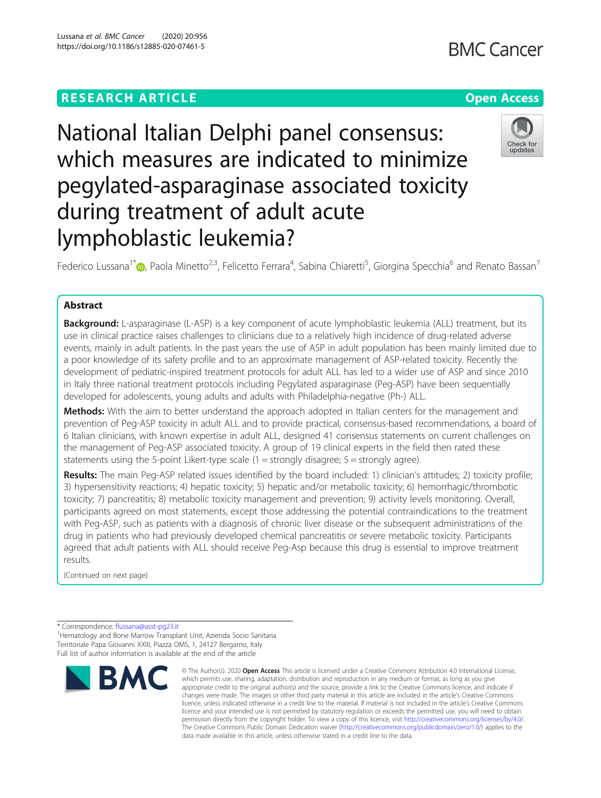## **RESEARCH ARTICLE Example 2014 12:30 The Contract of Contract ACCESS**

# National Italian Delphi panel consensus: which measures are indicated to minimize pegylated-asparaginase associated toxicity during treatment of adult acute lymphoblastic leukemia?

Federico Lussana<sup>1\*</sup>®[,](http://orcid.org/0000-0002-6510-8616) Paola Minetto<sup>2,3</sup>, Felicetto Ferrara<sup>4</sup>, Sabina Chiaretti<sup>5</sup>, Giorgina Specchia<sup>6</sup> and Renato Bassan<sup>7</sup>

## Abstract

Background: L-asparaginase (L-ASP) is a key component of acute lymphoblastic leukemia (ALL) treatment, but its use in clinical practice raises challenges to clinicians due to a relatively high incidence of drug-related adverse events, mainly in adult patients. In the past years the use of ASP in adult population has been mainly limited due to a poor knowledge of its safety profile and to an approximate management of ASP-related toxicity. Recently the development of pediatric-inspired treatment protocols for adult ALL has led to a wider use of ASP and since 2010 in Italy three national treatment protocols including Pegylated asparaginase (Peg-ASP) have been sequentially developed for adolescents, young adults and adults with Philadelphia-negative (Ph-) ALL.

Methods: With the aim to better understand the approach adopted in Italian centers for the management and prevention of Peg-ASP toxicity in adult ALL and to provide practical, consensus-based recommendations, a board of 6 Italian clinicians, with known expertise in adult ALL, designed 41 consensus statements on current challenges on the management of Peg-ASP associated toxicity. A group of 19 clinical experts in the field then rated these statements using the 5-point Likert-type scale  $(1 =$ strongly disagree;  $5 =$ strongly agree).

Results: The main Peg-ASP related issues identified by the board included: 1) clinician's attitudes; 2) toxicity profile; 3) hypersensitivity reactions; 4) hepatic toxicity; 5) hepatic and/or metabolic toxicity; 6) hemorrhagic/thrombotic toxicity; 7) pancreatitis; 8) metabolic toxicity management and prevention; 9) activity levels monitoring. Overall, participants agreed on most statements, except those addressing the potential contraindications to the treatment with Peg-ASP, such as patients with a diagnosis of chronic liver disease or the subsequent administrations of the drug in patients who had previously developed chemical pancreatitis or severe metabolic toxicity. Participants agreed that adult patients with ALL should receive Peg-Asp because this drug is essential to improve treatment results.

(Continued on next page)

\* Correspondence: [flussana@asst-pg23.it](mailto:flussana@asst-pg23.it) <sup>1</sup>

<sup>1</sup> Hematology and Bone Marrow Transplant Unit, Azienda Socio Sanitaria Territoriale Papa Giovanni XXIII, Piazza OMS, 1, 24127 Bergamo, Italy Full list of author information is available at the end of the article



**BMC Cancer** 

**BMC** 

<sup>©</sup> The Author(s), 2020 **Open Access** This article is licensed under a Creative Commons Attribution 4.0 International License, which permits use, sharing, adaptation, distribution and reproduction in any medium or format, as long as you give appropriate credit to the original author(s) and the source, provide a link to the Creative Commons licence, and indicate if changes were made. The images or other third party material in this article are included in the article's Creative Commons licence, unless indicated otherwise in a credit line to the material. If material is not included in the article's Creative Commons licence and your intended use is not permitted by statutory regulation or exceeds the permitted use, you will need to obtain permission directly from the copyright holder. To view a copy of this licence, visit [http://creativecommons.org/licenses/by/4.0/.](http://creativecommons.org/licenses/by/4.0/) The Creative Commons Public Domain Dedication waiver [\(http://creativecommons.org/publicdomain/zero/1.0/](http://creativecommons.org/publicdomain/zero/1.0/)) applies to the data made available in this article, unless otherwise stated in a credit line to the data.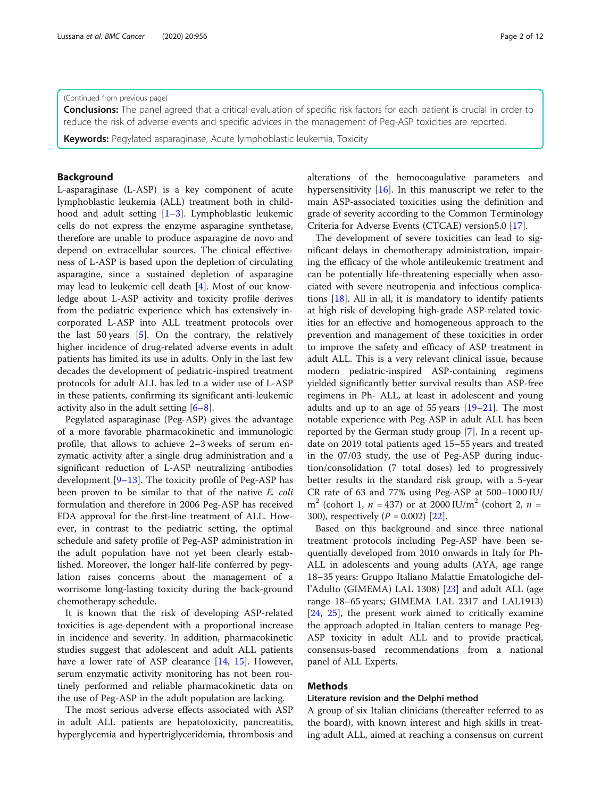(Continued from previous page)

Conclusions: The panel agreed that a critical evaluation of specific risk factors for each patient is crucial in order to reduce the risk of adverse events and specific advices in the management of Peg-ASP toxicities are reported.

Keywords: Pegylated asparaginase, Acute lymphoblastic leukemia, Toxicity

#### Background

L-asparaginase (L-ASP) is a key component of acute lymphoblastic leukemia (ALL) treatment both in childhood and adult setting [\[1](#page-10-0)–[3\]](#page-10-0). Lymphoblastic leukemic cells do not express the enzyme asparagine synthetase, therefore are unable to produce asparagine de novo and depend on extracellular sources. The clinical effectiveness of L-ASP is based upon the depletion of circulating asparagine, since a sustained depletion of asparagine may lead to leukemic cell death [[4\]](#page-10-0). Most of our knowledge about L-ASP activity and toxicity profile derives from the pediatric experience which has extensively incorporated L-ASP into ALL treatment protocols over the last [5](#page-10-0)0 years  $[5]$ . On the contrary, the relatively higher incidence of drug-related adverse events in adult patients has limited its use in adults. Only in the last few decades the development of pediatric-inspired treatment protocols for adult ALL has led to a wider use of L-ASP in these patients, confirming its significant anti-leukemic activity also in the adult setting  $[6-8]$  $[6-8]$  $[6-8]$ .

Pegylated asparaginase (Peg-ASP) gives the advantage of a more favorable pharmacokinetic and immunologic profile, that allows to achieve 2–3 weeks of serum enzymatic activity after a single drug administration and a significant reduction of L-ASP neutralizing antibodies development [[9](#page-10-0)–[13](#page-10-0)]. The toxicity profile of Peg-ASP has been proven to be similar to that of the native E. coli formulation and therefore in 2006 Peg-ASP has received FDA approval for the first-line treatment of ALL. However, in contrast to the pediatric setting, the optimal schedule and safety profile of Peg-ASP administration in the adult population have not yet been clearly established. Moreover, the longer half-life conferred by pegylation raises concerns about the management of a worrisome long-lasting toxicity during the back-ground chemotherapy schedule.

It is known that the risk of developing ASP-related toxicities is age-dependent with a proportional increase in incidence and severity. In addition, pharmacokinetic studies suggest that adolescent and adult ALL patients have a lower rate of ASP clearance [[14,](#page-10-0) [15](#page-10-0)]. However, serum enzymatic activity monitoring has not been routinely performed and reliable pharmacokinetic data on the use of Peg-ASP in the adult population are lacking.

The most serious adverse effects associated with ASP in adult ALL patients are hepatotoxicity, pancreatitis, hyperglycemia and hypertriglyceridemia, thrombosis and alterations of the hemocoagulative parameters and hypersensitivity [\[16\]](#page-10-0). In this manuscript we refer to the main ASP-associated toxicities using the definition and grade of severity according to the Common Terminology Criteria for Adverse Events (CTCAE) version5.0 [\[17\]](#page-10-0).

The development of severe toxicities can lead to significant delays in chemotherapy administration, impairing the efficacy of the whole antileukemic treatment and can be potentially life-threatening especially when associated with severe neutropenia and infectious complications [[18](#page-10-0)]. All in all, it is mandatory to identify patients at high risk of developing high-grade ASP-related toxicities for an effective and homogeneous approach to the prevention and management of these toxicities in order to improve the safety and efficacy of ASP treatment in adult ALL. This is a very relevant clinical issue, because modern pediatric-inspired ASP-containing regimens yielded significantly better survival results than ASP-free regimens in Ph- ALL, at least in adolescent and young adults and up to an age of 55 years [[19](#page-10-0)–[21](#page-10-0)]. The most notable experience with Peg-ASP in adult ALL has been reported by the German study group [\[7](#page-10-0)]. In a recent update on 2019 total patients aged 15–55 years and treated in the 07/03 study, the use of Peg-ASP during induction/consolidation (7 total doses) led to progressively better results in the standard risk group, with a 5-year CR rate of 63 and 77% using Peg-ASP at 500–1000 IU/  $m^2$  (cohort 1,  $n = 437$ ) or at 2000 IU/m<sup>2</sup> (cohort 2,  $n =$ 300), respectively  $(P = 0.002)$  [\[22](#page-10-0)].

Based on this background and since three national treatment protocols including Peg-ASP have been sequentially developed from 2010 onwards in Italy for Ph-ALL in adolescents and young adults (AYA, age range 18–35 years: Gruppo Italiano Malattie Ematologiche dell'Adulto (GIMEMA) LAL 1308) [\[23\]](#page-10-0) and adult ALL (age range 18–65 years; GIMEMA LAL 2317 and LAL1913) [[24,](#page-10-0) [25](#page-10-0)], the present work aimed to critically examine the approach adopted in Italian centers to manage Peg-ASP toxicity in adult ALL and to provide practical, consensus-based recommendations from a national panel of ALL Experts.

## Methods

#### Literature revision and the Delphi method

A group of six Italian clinicians (thereafter referred to as the board), with known interest and high skills in treating adult ALL, aimed at reaching a consensus on current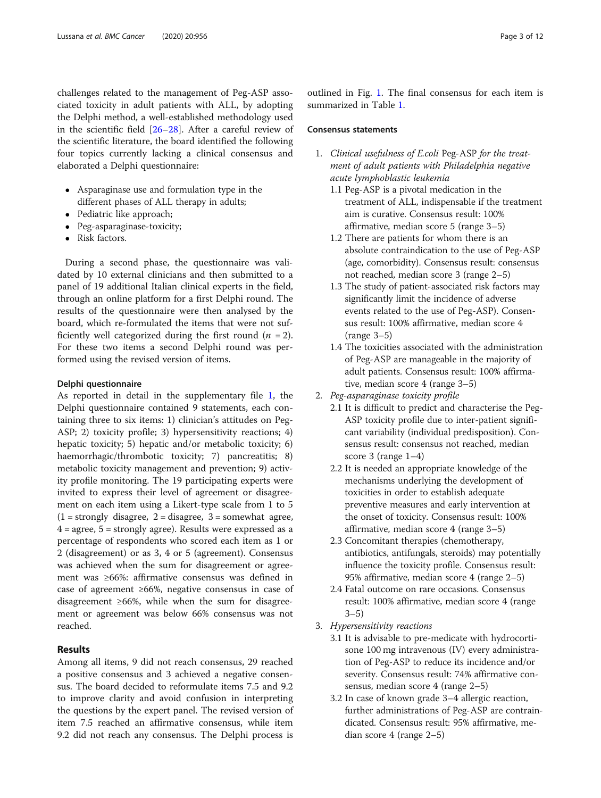challenges related to the management of Peg-ASP associated toxicity in adult patients with ALL, by adopting the Delphi method, a well-established methodology used in the scientific field [\[26](#page-10-0)–[28\]](#page-10-0). After a careful review of the scientific literature, the board identified the following four topics currently lacking a clinical consensus and elaborated a Delphi questionnaire:

- Asparaginase use and formulation type in the different phases of ALL therapy in adults;
- Pediatric like approach;
- Peg-asparaginase-toxicity;
- Risk factors.

During a second phase, the questionnaire was validated by 10 external clinicians and then submitted to a panel of 19 additional Italian clinical experts in the field, through an online platform for a first Delphi round. The results of the questionnaire were then analysed by the board, which re-formulated the items that were not sufficiently well categorized during the first round  $(n = 2)$ . For these two items a second Delphi round was performed using the revised version of items.

#### Delphi questionnaire

As reported in detail in the supplementary file [1,](#page-9-0) the Delphi questionnaire contained 9 statements, each containing three to six items: 1) clinician's attitudes on Peg-ASP; 2) toxicity profile; 3) hypersensitivity reactions; 4) hepatic toxicity; 5) hepatic and/or metabolic toxicity; 6) haemorrhagic/thrombotic toxicity; 7) pancreatitis; 8) metabolic toxicity management and prevention; 9) activity profile monitoring. The 19 participating experts were invited to express their level of agreement or disagreement on each item using a Likert-type scale from 1 to 5  $(1 = strongly disagree, 2 = disagree, 3 = somewhat agree,$  $4 = \text{agree}$ ,  $5 = \text{strongly agree}$ . Results were expressed as a percentage of respondents who scored each item as 1 or 2 (disagreement) or as 3, 4 or 5 (agreement). Consensus was achieved when the sum for disagreement or agreement was ≥66%: affirmative consensus was defined in case of agreement ≥66%, negative consensus in case of disagreement ≥66%, while when the sum for disagreement or agreement was below 66% consensus was not reached.

## Results

Among all items, 9 did not reach consensus, 29 reached a positive consensus and 3 achieved a negative consensus. The board decided to reformulate items 7.5 and 9.2 to improve clarity and avoid confusion in interpreting the questions by the expert panel. The revised version of item 7.5 reached an affirmative consensus, while item 9.2 did not reach any consensus. The Delphi process is

outlined in Fig. [1.](#page-3-0) The final consensus for each item is summarized in Table [1](#page-4-0).

## Consensus statements

- 1. Clinical usefulness of E.coli Peg-ASP for the treatment of adult patients with Philadelphia negative acute lymphoblastic leukemia
	- 1.1 Peg-ASP is a pivotal medication in the treatment of ALL, indispensable if the treatment aim is curative. Consensus result: 100% affirmative, median score 5 (range 3–5)
	- 1.2 There are patients for whom there is an absolute contraindication to the use of Peg-ASP (age, comorbidity). Consensus result: consensus not reached, median score 3 (range 2–5)
	- 1.3 The study of patient-associated risk factors may significantly limit the incidence of adverse events related to the use of Peg-ASP). Consensus result: 100% affirmative, median score 4 (range 3–5)
	- 1.4 The toxicities associated with the administration of Peg-ASP are manageable in the majority of adult patients. Consensus result: 100% affirmative, median score 4 (range 3–5)
- 2. Peg-asparaginase toxicity profile
	- 2.1 It is difficult to predict and characterise the Peg-ASP toxicity profile due to inter-patient significant variability (individual predisposition). Consensus result: consensus not reached, median score 3 (range 1–4)
	- 2.2 It is needed an appropriate knowledge of the mechanisms underlying the development of toxicities in order to establish adequate preventive measures and early intervention at the onset of toxicity. Consensus result: 100% affirmative, median score 4 (range 3–5)
	- 2.3 Concomitant therapies (chemotherapy, antibiotics, antifungals, steroids) may potentially influence the toxicity profile. Consensus result: 95% affirmative, median score 4 (range 2–5)
	- 2.4 Fatal outcome on rare occasions. Consensus result: 100% affirmative, median score 4 (range  $3 - 5$ )
- 3. Hypersensitivity reactions
	- 3.1 It is advisable to pre-medicate with hydrocortisone 100 mg intravenous (IV) every administration of Peg-ASP to reduce its incidence and/or severity. Consensus result: 74% affirmative consensus, median score 4 (range 2–5)
	- 3.2 In case of known grade 3–4 allergic reaction, further administrations of Peg-ASP are contraindicated. Consensus result: 95% affirmative, median score 4 (range 2–5)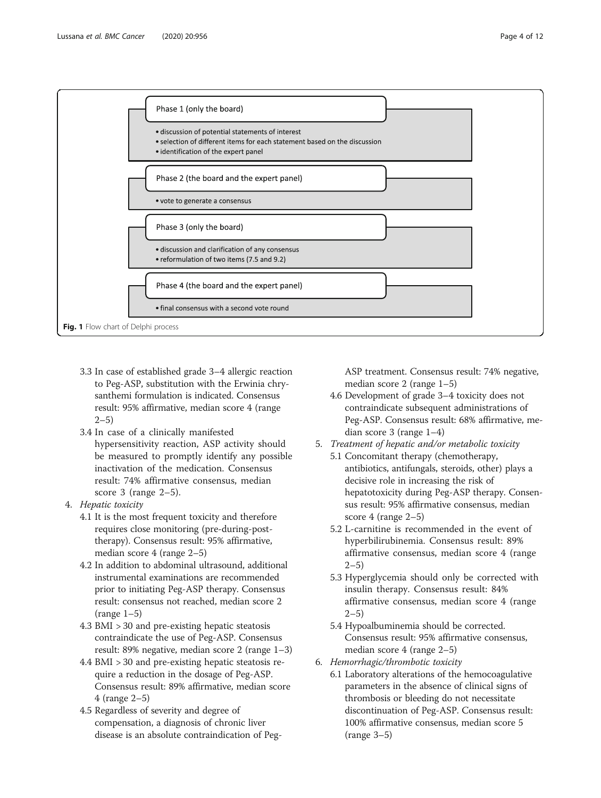<span id="page-3-0"></span>

- 3.3 In case of established grade 3–4 allergic reaction to Peg-ASP, substitution with the Erwinia chrysanthemi formulation is indicated. Consensus result: 95% affirmative, median score 4 (range  $2 - 5$ )
- 3.4 In case of a clinically manifested hypersensitivity reaction, ASP activity should be measured to promptly identify any possible inactivation of the medication. Consensus result: 74% affirmative consensus, median score 3 (range 2–5).
- 4. Hepatic toxicity
	- 4.1 It is the most frequent toxicity and therefore requires close monitoring (pre-during-posttherapy). Consensus result: 95% affirmative, median score 4 (range 2–5)
	- 4.2 In addition to abdominal ultrasound, additional instrumental examinations are recommended prior to initiating Peg-ASP therapy. Consensus result: consensus not reached, median score 2 (range 1–5)
	- 4.3 BMI > 30 and pre-existing hepatic steatosis contraindicate the use of Peg-ASP. Consensus result: 89% negative, median score 2 (range 1–3)
	- 4.4 BMI > 30 and pre-existing hepatic steatosis require a reduction in the dosage of Peg-ASP. Consensus result: 89% affirmative, median score 4 (range 2–5)
	- 4.5 Regardless of severity and degree of compensation, a diagnosis of chronic liver disease is an absolute contraindication of Peg-

ASP treatment. Consensus result: 74% negative, median score 2 (range 1–5)

- 4.6 Development of grade 3–4 toxicity does not contraindicate subsequent administrations of Peg-ASP. Consensus result: 68% affirmative, median score 3 (range 1–4)
- 5. Treatment of hepatic and/or metabolic toxicity
	- 5.1 Concomitant therapy (chemotherapy, antibiotics, antifungals, steroids, other) plays a decisive role in increasing the risk of hepatotoxicity during Peg-ASP therapy. Consensus result: 95% affirmative consensus, median score 4 (range 2–5)
	- 5.2 L-carnitine is recommended in the event of hyperbilirubinemia. Consensus result: 89% affirmative consensus, median score 4 (range  $2 - 5$ )
	- 5.3 Hyperglycemia should only be corrected with insulin therapy. Consensus result: 84% affirmative consensus, median score 4 (range  $2 - 5$ )
	- 5.4 Hypoalbuminemia should be corrected. Consensus result: 95% affirmative consensus, median score 4 (range 2–5)
- 6. Hemorrhagic/thrombotic toxicity
	- 6.1 Laboratory alterations of the hemocoagulative parameters in the absence of clinical signs of thrombosis or bleeding do not necessitate discontinuation of Peg-ASP. Consensus result: 100% affirmative consensus, median score 5 (range 3–5)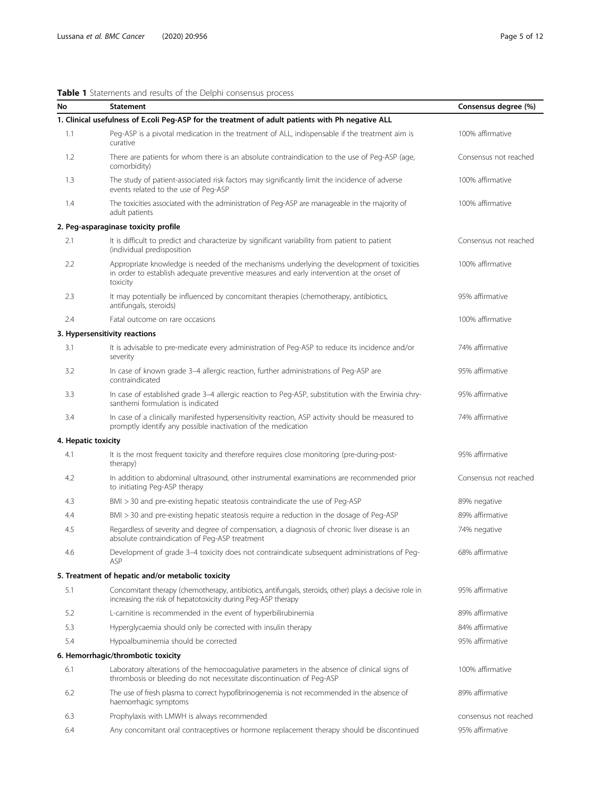<span id="page-4-0"></span>

| <b>Table 1</b> Statements and results of the Delphi consensus process |
|-----------------------------------------------------------------------|
|-----------------------------------------------------------------------|

| 1. Clinical usefulness of E.coli Peg-ASP for the treatment of adult patients with Ph negative ALL<br>Peg-ASP is a pivotal medication in the treatment of ALL, indispensable if the treatment aim is<br>There are patients for whom there is an absolute contraindication to the use of Peg-ASP (age,<br>The study of patient-associated risk factors may significantly limit the incidence of adverse | 100% affirmative<br>Consensus not reached |
|-------------------------------------------------------------------------------------------------------------------------------------------------------------------------------------------------------------------------------------------------------------------------------------------------------------------------------------------------------------------------------------------------------|-------------------------------------------|
|                                                                                                                                                                                                                                                                                                                                                                                                       |                                           |
|                                                                                                                                                                                                                                                                                                                                                                                                       |                                           |
|                                                                                                                                                                                                                                                                                                                                                                                                       |                                           |
|                                                                                                                                                                                                                                                                                                                                                                                                       | 100% affirmative                          |
| The toxicities associated with the administration of Peq-ASP are manageable in the majority of                                                                                                                                                                                                                                                                                                        | 100% affirmative                          |
|                                                                                                                                                                                                                                                                                                                                                                                                       |                                           |
| It is difficult to predict and characterize by significant variability from patient to patient                                                                                                                                                                                                                                                                                                        | Consensus not reached                     |
| Appropriate knowledge is needed of the mechanisms underlying the development of toxicities<br>in order to establish adequate preventive measures and early intervention at the onset of                                                                                                                                                                                                               | 100% affirmative                          |
| It may potentially be influenced by concomitant therapies (chemotherapy, antibiotics,                                                                                                                                                                                                                                                                                                                 | 95% affirmative                           |
|                                                                                                                                                                                                                                                                                                                                                                                                       | 100% affirmative                          |
|                                                                                                                                                                                                                                                                                                                                                                                                       |                                           |
| It is advisable to pre-medicate every administration of Peg-ASP to reduce its incidence and/or                                                                                                                                                                                                                                                                                                        | 74% affirmative                           |
| In case of known grade 3-4 allergic reaction, further administrations of Peg-ASP are                                                                                                                                                                                                                                                                                                                  | 95% affirmative                           |
| In case of established grade 3-4 allergic reaction to Peg-ASP, substitution with the Erwinia chry-                                                                                                                                                                                                                                                                                                    | 95% affirmative                           |
| In case of a clinically manifested hypersensitivity reaction, ASP activity should be measured to<br>promptly identify any possible inactivation of the medication                                                                                                                                                                                                                                     | 74% affirmative                           |
|                                                                                                                                                                                                                                                                                                                                                                                                       |                                           |
| It is the most frequent toxicity and therefore requires close monitoring (pre-during-post-                                                                                                                                                                                                                                                                                                            | 95% affirmative                           |
| In addition to abdominal ultrasound, other instrumental examinations are recommended prior                                                                                                                                                                                                                                                                                                            | Consensus not reached                     |
| BMI > 30 and pre-existing hepatic steatosis contraindicate the use of Peg-ASP                                                                                                                                                                                                                                                                                                                         | 89% negative                              |
| BMI > 30 and pre-existing hepatic steatosis require a reduction in the dosage of Peg-ASP                                                                                                                                                                                                                                                                                                              | 89% affirmative                           |
| Regardless of severity and degree of compensation, a diagnosis of chronic liver disease is an                                                                                                                                                                                                                                                                                                         | 74% negative                              |
| Development of grade 3–4 toxicity does not contraindicate subsequent administrations of Peg-                                                                                                                                                                                                                                                                                                          | 68% affirmative                           |
|                                                                                                                                                                                                                                                                                                                                                                                                       |                                           |
| Concomitant therapy (chemotherapy, antibiotics, antifungals, steroids, other) plays a decisive role in                                                                                                                                                                                                                                                                                                | 95% affirmative                           |
| L-carnitine is recommended in the event of hyperbilirubinemia                                                                                                                                                                                                                                                                                                                                         | 89% affirmative                           |
| Hyperglycaemia should only be corrected with insulin therapy                                                                                                                                                                                                                                                                                                                                          | 84% affirmative                           |
|                                                                                                                                                                                                                                                                                                                                                                                                       | 95% affirmative                           |
|                                                                                                                                                                                                                                                                                                                                                                                                       |                                           |
| Laboratory alterations of the hemocoagulative parameters in the absence of clinical signs of<br>thrombosis or bleeding do not necessitate discontinuation of Peg-ASP                                                                                                                                                                                                                                  | 100% affirmative                          |
| The use of fresh plasma to correct hypofibrinogenemia is not recommended in the absence of                                                                                                                                                                                                                                                                                                            | 89% affirmative                           |
|                                                                                                                                                                                                                                                                                                                                                                                                       | consensus not reached                     |
| Any concomitant oral contraceptives or hormone replacement therapy should be discontinued                                                                                                                                                                                                                                                                                                             | 95% affirmative                           |
|                                                                                                                                                                                                                                                                                                                                                                                                       |                                           |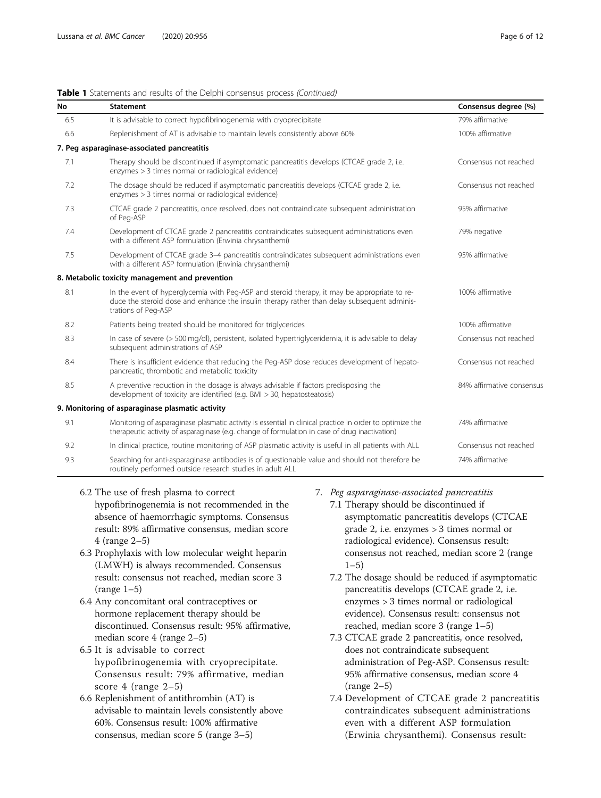|  | Table 1 Statements and results of the Delphi consensus process (Continued) |  |  |  |  |
|--|----------------------------------------------------------------------------|--|--|--|--|
|  |                                                                            |  |  |  |  |

| <b>No</b> | <b>Statement</b>                                                                                                                                                                                                   | Consensus degree (%)      |
|-----------|--------------------------------------------------------------------------------------------------------------------------------------------------------------------------------------------------------------------|---------------------------|
| 6.5       | It is advisable to correct hypofibrinogenemia with cryoprecipitate                                                                                                                                                 | 79% affirmative           |
| 6.6       | Replenishment of AT is advisable to maintain levels consistently above 60%                                                                                                                                         | 100% affirmative          |
|           | 7. Peg asparaginase-associated pancreatitis                                                                                                                                                                        |                           |
| 7.1       | Therapy should be discontinued if asymptomatic pancreatitis develops (CTCAE grade 2, i.e.<br>enzymes > 3 times normal or radiological evidence)                                                                    | Consensus not reached     |
| 7.2       | The dosage should be reduced if asymptomatic pancreatitis develops (CTCAE grade 2, i.e.<br>enzymes > 3 times normal or radiological evidence)                                                                      | Consensus not reached     |
| 7.3       | CTCAE grade 2 pancreatitis, once resolved, does not contraindicate subsequent administration<br>of Peg-ASP                                                                                                         | 95% affirmative           |
| 7.4       | Development of CTCAE grade 2 pancreatitis contraindicates subsequent administrations even<br>with a different ASP formulation (Erwinia chrysanthemi)                                                               | 79% negative              |
| 7.5       | Development of CTCAE grade 3-4 pancreatitis contraindicates subsequent administrations even<br>with a different ASP formulation (Erwinia chrysanthemi)                                                             | 95% affirmative           |
|           | 8. Metabolic toxicity management and prevention                                                                                                                                                                    |                           |
| 8.1       | In the event of hyperglycemia with Peg-ASP and steroid therapy, it may be appropriate to re-<br>duce the steroid dose and enhance the insulin therapy rather than delay subsequent adminis-<br>trations of Peg-ASP | 100% affirmative          |
| 8.2       | Patients being treated should be monitored for triglycerides                                                                                                                                                       | 100% affirmative          |
| 8.3       | In case of severe (> 500 mg/dl), persistent, isolated hypertriglyceridemia, it is advisable to delay<br>subsequent administrations of ASP                                                                          | Consensus not reached     |
| 8.4       | There is insufficient evidence that reducing the Peg-ASP dose reduces development of hepato-<br>pancreatic, thrombotic and metabolic toxicity                                                                      | Consensus not reached     |
| 8.5       | A preventive reduction in the dosage is always advisable if factors predisposing the<br>development of toxicity are identified (e.g. BMI > 30, hepatosteatosis)                                                    | 84% affirmative consensus |
|           | 9. Monitoring of asparaginase plasmatic activity                                                                                                                                                                   |                           |
| 9.1       | Monitoring of asparaginase plasmatic activity is essential in clinical practice in order to optimize the<br>therapeutic activity of asparaginase (e.g. change of formulation in case of drug inactivation)         | 74% affirmative           |
| 9.2       | In clinical practice, routine monitoring of ASP plasmatic activity is useful in all patients with ALL                                                                                                              | Consensus not reached     |
| 9.3       | Searching for anti-asparaginase antibodies is of questionable value and should not therefore be<br>routinely performed outside research studies in adult ALL                                                       | 74% affirmative           |

## 6.2 The use of fresh plasma to correct hypofibrinogenemia is not recommended in the absence of haemorrhagic symptoms. Consensus result: 89% affirmative consensus, median score

- 4 (range 2–5) 6.3 Prophylaxis with low molecular weight heparin (LMWH) is always recommended. Consensus result: consensus not reached, median score 3 (range 1–5)
- 6.4 Any concomitant oral contraceptives or hormone replacement therapy should be discontinued. Consensus result: 95% affirmative, median score 4 (range 2–5)
- 6.5 It is advisable to correct hypofibrinogenemia with cryoprecipitate. Consensus result: 79% affirmative, median score 4 (range 2–5)
- 6.6 Replenishment of antithrombin (AT) is advisable to maintain levels consistently above 60%. Consensus result: 100% affirmative consensus, median score 5 (range 3–5)
- 7. Peg asparaginase-associated pancreatitis
	- 7.1 Therapy should be discontinued if asymptomatic pancreatitis develops (CTCAE grade 2, i.e. enzymes > 3 times normal or radiological evidence). Consensus result: consensus not reached, median score 2 (range  $1 - 5$ )
	- 7.2 The dosage should be reduced if asymptomatic pancreatitis develops (CTCAE grade 2, i.e. enzymes > 3 times normal or radiological evidence). Consensus result: consensus not reached, median score 3 (range 1–5)
	- 7.3 CTCAE grade 2 pancreatitis, once resolved, does not contraindicate subsequent administration of Peg-ASP. Consensus result: 95% affirmative consensus, median score 4 (range 2–5)
	- 7.4 Development of CTCAE grade 2 pancreatitis contraindicates subsequent administrations even with a different ASP formulation (Erwinia chrysanthemi). Consensus result: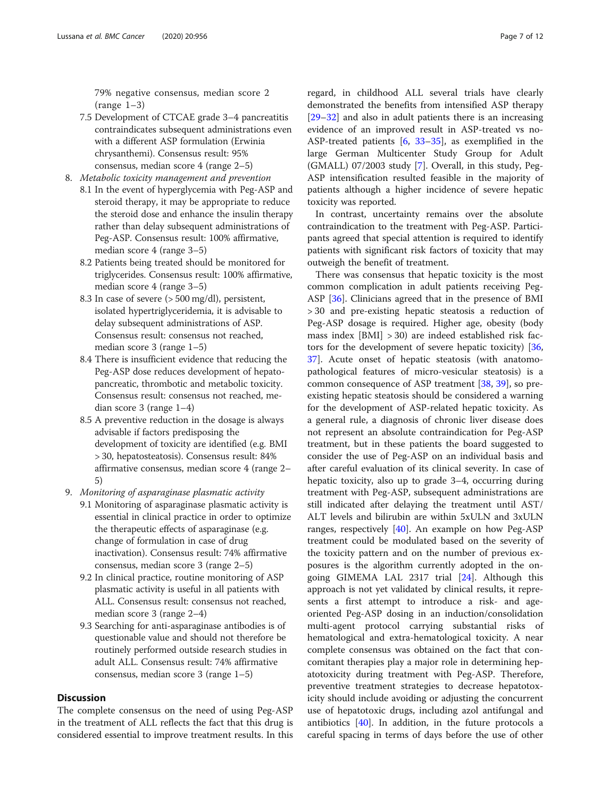79% negative consensus, median score 2 (range 1–3)

- 7.5 Development of CTCAE grade 3–4 pancreatitis contraindicates subsequent administrations even with a different ASP formulation (Erwinia chrysanthemi). Consensus result: 95% consensus, median score 4 (range 2–5)
- 8. Metabolic toxicity management and prevention
	- 8.1 In the event of hyperglycemia with Peg-ASP and steroid therapy, it may be appropriate to reduce the steroid dose and enhance the insulin therapy rather than delay subsequent administrations of Peg-ASP. Consensus result: 100% affirmative, median score 4 (range 3–5)
	- 8.2 Patients being treated should be monitored for triglycerides. Consensus result: 100% affirmative, median score 4 (range 3–5)
	- 8.3 In case of severe (> 500 mg/dl), persistent, isolated hypertriglyceridemia, it is advisable to delay subsequent administrations of ASP. Consensus result: consensus not reached, median score 3 (range 1–5)
	- 8.4 There is insufficient evidence that reducing the Peg-ASP dose reduces development of hepatopancreatic, thrombotic and metabolic toxicity. Consensus result: consensus not reached, median score 3 (range 1–4)
	- 8.5 A preventive reduction in the dosage is always advisable if factors predisposing the development of toxicity are identified (e.g. BMI > 30, hepatosteatosis). Consensus result: 84% affirmative consensus, median score 4 (range 2– 5)
- 9. Monitoring of asparaginase plasmatic activity
	- 9.1 Monitoring of asparaginase plasmatic activity is essential in clinical practice in order to optimize the therapeutic effects of asparaginase (e.g. change of formulation in case of drug inactivation). Consensus result: 74% affirmative consensus, median score 3 (range 2–5)
	- 9.2 In clinical practice, routine monitoring of ASP plasmatic activity is useful in all patients with ALL. Consensus result: consensus not reached, median score 3 (range 2–4)
	- 9.3 Searching for anti-asparaginase antibodies is of questionable value and should not therefore be routinely performed outside research studies in adult ALL. Consensus result: 74% affirmative consensus, median score 3 (range 1–5)

## **Discussion**

The complete consensus on the need of using Peg-ASP in the treatment of ALL reflects the fact that this drug is considered essential to improve treatment results. In this

regard, in childhood ALL several trials have clearly demonstrated the benefits from intensified ASP therapy [[29](#page-10-0)–[32](#page-10-0)] and also in adult patients there is an increasing evidence of an improved result in ASP-treated vs no-ASP-treated patients [\[6](#page-10-0), [33](#page-10-0)–[35](#page-10-0)], as exemplified in the large German Multicenter Study Group for Adult (GMALL) 07/2003 study [[7\]](#page-10-0). Overall, in this study, Peg-ASP intensification resulted feasible in the majority of patients although a higher incidence of severe hepatic toxicity was reported.

In contrast, uncertainty remains over the absolute contraindication to the treatment with Peg-ASP. Participants agreed that special attention is required to identify patients with significant risk factors of toxicity that may outweigh the benefit of treatment.

There was consensus that hepatic toxicity is the most common complication in adult patients receiving Peg-ASP [[36\]](#page-10-0). Clinicians agreed that in the presence of BMI > 30 and pre-existing hepatic steatosis a reduction of Peg-ASP dosage is required. Higher age, obesity (body mass index [BMI] > 30) are indeed established risk factors for the development of severe hepatic toxicity) [[36](#page-10-0), [37\]](#page-11-0). Acute onset of hepatic steatosis (with anatomopathological features of micro-vesicular steatosis) is a common consequence of ASP treatment [[38,](#page-11-0) [39\]](#page-11-0), so preexisting hepatic steatosis should be considered a warning for the development of ASP-related hepatic toxicity. As a general rule, a diagnosis of chronic liver disease does not represent an absolute contraindication for Peg-ASP treatment, but in these patients the board suggested to consider the use of Peg-ASP on an individual basis and after careful evaluation of its clinical severity. In case of hepatic toxicity, also up to grade 3–4, occurring during treatment with Peg-ASP, subsequent administrations are still indicated after delaying the treatment until AST/ ALT levels and bilirubin are within 5xULN and 3xULN ranges, respectively  $[40]$  $[40]$ . An example on how Peg-ASP treatment could be modulated based on the severity of the toxicity pattern and on the number of previous exposures is the algorithm currently adopted in the ongoing GIMEMA LAL 2317 trial [\[24](#page-10-0)]. Although this approach is not yet validated by clinical results, it represents a first attempt to introduce a risk- and ageoriented Peg-ASP dosing in an induction/consolidation multi-agent protocol carrying substantial risks of hematological and extra-hematological toxicity. A near complete consensus was obtained on the fact that concomitant therapies play a major role in determining hepatotoxicity during treatment with Peg-ASP. Therefore, preventive treatment strategies to decrease hepatotoxicity should include avoiding or adjusting the concurrent use of hepatotoxic drugs, including azol antifungal and antibiotics  $[40]$  $[40]$ . In addition, in the future protocols a careful spacing in terms of days before the use of other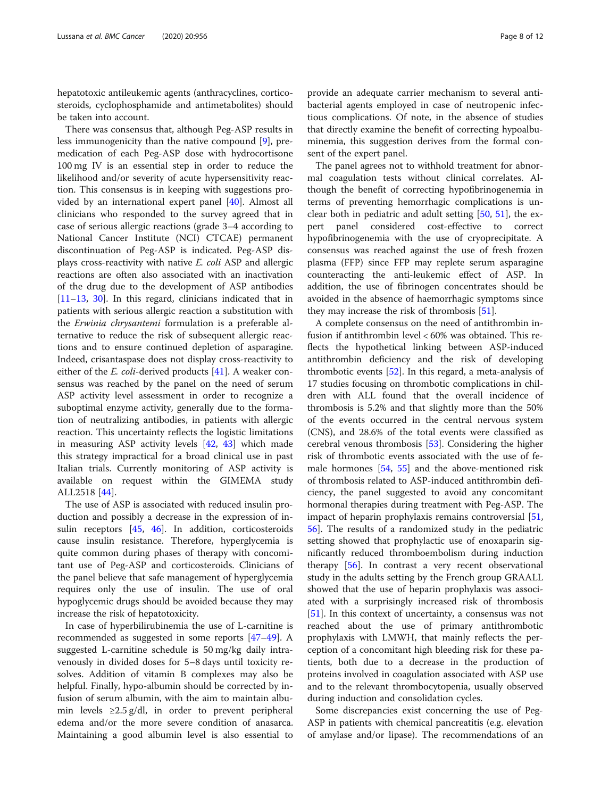hepatotoxic antileukemic agents (anthracyclines, corticosteroids, cyclophosphamide and antimetabolites) should be taken into account.

There was consensus that, although Peg-ASP results in less immunogenicity than the native compound [\[9](#page-10-0)], premedication of each Peg-ASP dose with hydrocortisone 100 mg IV is an essential step in order to reduce the likelihood and/or severity of acute hypersensitivity reaction. This consensus is in keeping with suggestions provided by an international expert panel [\[40](#page-11-0)]. Almost all clinicians who responded to the survey agreed that in case of serious allergic reactions (grade 3–4 according to National Cancer Institute (NCI) CTCAE) permanent discontinuation of Peg-ASP is indicated. Peg-ASP displays cross-reactivity with native E. coli ASP and allergic reactions are often also associated with an inactivation of the drug due to the development of ASP antibodies [[11](#page-10-0)–[13](#page-10-0), [30\]](#page-10-0). In this regard, clinicians indicated that in patients with serious allergic reaction a substitution with the Erwinia chrysantemi formulation is a preferable alternative to reduce the risk of subsequent allergic reactions and to ensure continued depletion of asparagine. Indeed, crisantaspase does not display cross-reactivity to either of the *E. coli-cerived* products  $[41]$  $[41]$ . A weaker consensus was reached by the panel on the need of serum ASP activity level assessment in order to recognize a suboptimal enzyme activity, generally due to the formation of neutralizing antibodies, in patients with allergic reaction. This uncertainty reflects the logistic limitations in measuring ASP activity levels [\[42,](#page-11-0) [43\]](#page-11-0) which made this strategy impractical for a broad clinical use in past Italian trials. Currently monitoring of ASP activity is available on request within the GIMEMA study ALL2518 [\[44](#page-11-0)].

The use of ASP is associated with reduced insulin production and possibly a decrease in the expression of insulin receptors [\[45,](#page-11-0) [46\]](#page-11-0). In addition, corticosteroids cause insulin resistance. Therefore, hyperglycemia is quite common during phases of therapy with concomitant use of Peg-ASP and corticosteroids. Clinicians of the panel believe that safe management of hyperglycemia requires only the use of insulin. The use of oral hypoglycemic drugs should be avoided because they may increase the risk of hepatotoxicity.

In case of hyperbilirubinemia the use of L-carnitine is recommended as suggested in some reports [[47](#page-11-0)–[49](#page-11-0)]. A suggested L-carnitine schedule is 50 mg/kg daily intravenously in divided doses for 5–8 days until toxicity resolves. Addition of vitamin B complexes may also be helpful. Finally, hypo-albumin should be corrected by infusion of serum albumin, with the aim to maintain albumin levels  $\geq 2.5$  g/dl, in order to prevent peripheral edema and/or the more severe condition of anasarca. Maintaining a good albumin level is also essential to

provide an adequate carrier mechanism to several antibacterial agents employed in case of neutropenic infectious complications. Of note, in the absence of studies that directly examine the benefit of correcting hypoalbuminemia, this suggestion derives from the formal consent of the expert panel.

The panel agrees not to withhold treatment for abnormal coagulation tests without clinical correlates. Although the benefit of correcting hypofibrinogenemia in terms of preventing hemorrhagic complications is unclear both in pediatric and adult setting [[50,](#page-11-0) [51\]](#page-11-0), the expert panel considered cost-effective to correct hypofibrinogenemia with the use of cryoprecipitate. A consensus was reached against the use of fresh frozen plasma (FFP) since FFP may replete serum asparagine counteracting the anti-leukemic effect of ASP. In addition, the use of fibrinogen concentrates should be avoided in the absence of haemorrhagic symptoms since they may increase the risk of thrombosis [\[51](#page-11-0)].

A complete consensus on the need of antithrombin infusion if antithrombin level < 60% was obtained. This reflects the hypothetical linking between ASP-induced antithrombin deficiency and the risk of developing thrombotic events  $[52]$  $[52]$  $[52]$ . In this regard, a meta-analysis of 17 studies focusing on thrombotic complications in children with ALL found that the overall incidence of thrombosis is 5.2% and that slightly more than the 50% of the events occurred in the central nervous system (CNS), and 28.6% of the total events were classified as cerebral venous thrombosis [[53\]](#page-11-0). Considering the higher risk of thrombotic events associated with the use of female hormones [\[54](#page-11-0), [55\]](#page-11-0) and the above-mentioned risk of thrombosis related to ASP-induced antithrombin deficiency, the panel suggested to avoid any concomitant hormonal therapies during treatment with Peg-ASP. The impact of heparin prophylaxis remains controversial [[51](#page-11-0), [56\]](#page-11-0). The results of a randomized study in the pediatric setting showed that prophylactic use of enoxaparin significantly reduced thromboembolism during induction therapy [\[56](#page-11-0)]. In contrast a very recent observational study in the adults setting by the French group GRAALL showed that the use of heparin prophylaxis was associated with a surprisingly increased risk of thrombosis [[51\]](#page-11-0). In this context of uncertainty, a consensus was not reached about the use of primary antithrombotic prophylaxis with LMWH, that mainly reflects the perception of a concomitant high bleeding risk for these patients, both due to a decrease in the production of proteins involved in coagulation associated with ASP use and to the relevant thrombocytopenia, usually observed during induction and consolidation cycles.

Some discrepancies exist concerning the use of Peg-ASP in patients with chemical pancreatitis (e.g. elevation of amylase and/or lipase). The recommendations of an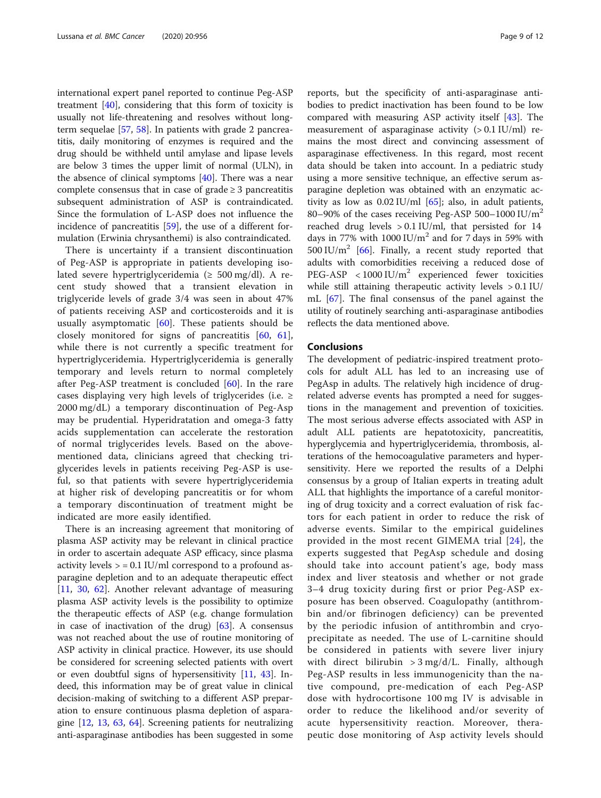international expert panel reported to continue Peg-ASP treatment [[40\]](#page-11-0), considering that this form of toxicity is usually not life-threatening and resolves without longterm sequelae [\[57,](#page-11-0) [58\]](#page-11-0). In patients with grade 2 pancreatitis, daily monitoring of enzymes is required and the drug should be withheld until amylase and lipase levels are below 3 times the upper limit of normal (ULN), in the absence of clinical symptoms [\[40](#page-11-0)]. There was a near complete consensus that in case of grade  $\geq$  3 pancreatitis subsequent administration of ASP is contraindicated. Since the formulation of L-ASP does not influence the incidence of pancreatitis [[59\]](#page-11-0), the use of a different formulation (Erwinia chrysanthemi) is also contraindicated.

There is uncertainty if a transient discontinuation of Peg-ASP is appropriate in patients developing isolated severe hypertriglyceridemia (≥ 500 mg/dl). A recent study showed that a transient elevation in triglyceride levels of grade 3/4 was seen in about 47% of patients receiving ASP and corticosteroids and it is usually asymptomatic [[60\]](#page-11-0). These patients should be closely monitored for signs of pancreatitis [[60,](#page-11-0) [61](#page-11-0)], while there is not currently a specific treatment for hypertriglyceridemia. Hypertriglyceridemia is generally temporary and levels return to normal completely after Peg-ASP treatment is concluded [[60\]](#page-11-0). In the rare cases displaying very high levels of triglycerides (i.e. ≥ 2000 mg/dL) a temporary discontinuation of Peg-Asp may be prudential. Hyperidratation and omega-3 fatty acids supplementation can accelerate the restoration of normal triglycerides levels. Based on the abovementioned data, clinicians agreed that checking triglycerides levels in patients receiving Peg-ASP is useful, so that patients with severe hypertriglyceridemia at higher risk of developing pancreatitis or for whom a temporary discontinuation of treatment might be indicated are more easily identified.

There is an increasing agreement that monitoring of plasma ASP activity may be relevant in clinical practice in order to ascertain adequate ASP efficacy, since plasma activity levels  $> = 0.1$  IU/ml correspond to a profound asparagine depletion and to an adequate therapeutic effect [[11,](#page-10-0) [30,](#page-10-0) [62](#page-11-0)]. Another relevant advantage of measuring plasma ASP activity levels is the possibility to optimize the therapeutic effects of ASP (e.g. change formulation in case of inactivation of the drug) [\[63](#page-11-0)]. A consensus was not reached about the use of routine monitoring of ASP activity in clinical practice. However, its use should be considered for screening selected patients with overt or even doubtful signs of hypersensitivity [[11,](#page-10-0) [43](#page-11-0)]. Indeed, this information may be of great value in clinical decision-making of switching to a different ASP preparation to ensure continuous plasma depletion of asparagine [[12,](#page-10-0) [13](#page-10-0), [63](#page-11-0), [64\]](#page-11-0). Screening patients for neutralizing anti-asparaginase antibodies has been suggested in some

reports, but the specificity of anti-asparaginase antibodies to predict inactivation has been found to be low compared with measuring ASP activity itself [[43](#page-11-0)]. The measurement of asparaginase activity  $(> 0.1 \text{ IU/ml})$  remains the most direct and convincing assessment of asparaginase effectiveness. In this regard, most recent data should be taken into account. In a pediatric study using a more sensitive technique, an effective serum asparagine depletion was obtained with an enzymatic activity as low as  $0.02$  IU/ml  $[65]$  $[65]$ ; also, in adult patients, 80–90% of the cases receiving Peg-ASP 500–1000 IU/ $m<sup>2</sup>$ reached drug levels  $> 0.1$  IU/ml, that persisted for 14 days in 77% with  $1000$  IU/m<sup>2</sup> and for 7 days in 59% with 500 IU/m<sup>2</sup> [\[66](#page-11-0)]. Finally, a recent study reported that adults with comorbidities receiving a reduced dose of PEG-ASP  $< 1000$  IU/m<sup>2</sup> experienced fewer toxicities while still attaining therapeutic activity levels > 0.1 IU/ mL [\[67](#page-11-0)]. The final consensus of the panel against the utility of routinely searching anti-asparaginase antibodies reflects the data mentioned above.

## **Conclusions**

The development of pediatric-inspired treatment protocols for adult ALL has led to an increasing use of PegAsp in adults. The relatively high incidence of drugrelated adverse events has prompted a need for suggestions in the management and prevention of toxicities. The most serious adverse effects associated with ASP in adult ALL patients are hepatotoxicity, pancreatitis, hyperglycemia and hypertriglyceridemia, thrombosis, alterations of the hemocoagulative parameters and hypersensitivity. Here we reported the results of a Delphi consensus by a group of Italian experts in treating adult ALL that highlights the importance of a careful monitoring of drug toxicity and a correct evaluation of risk factors for each patient in order to reduce the risk of adverse events. Similar to the empirical guidelines provided in the most recent GIMEMA trial [[24](#page-10-0)], the experts suggested that PegAsp schedule and dosing should take into account patient's age, body mass index and liver steatosis and whether or not grade 3–4 drug toxicity during first or prior Peg-ASP exposure has been observed. Coagulopathy (antithrombin and/or fibrinogen deficiency) can be prevented by the periodic infusion of antithrombin and cryoprecipitate as needed. The use of L-carnitine should be considered in patients with severe liver injury with direct bilirubin  $>$  3 mg/d/L. Finally, although Peg-ASP results in less immunogenicity than the native compound, pre-medication of each Peg-ASP dose with hydrocortisone 100 mg IV is advisable in order to reduce the likelihood and/or severity of acute hypersensitivity reaction. Moreover, therapeutic dose monitoring of Asp activity levels should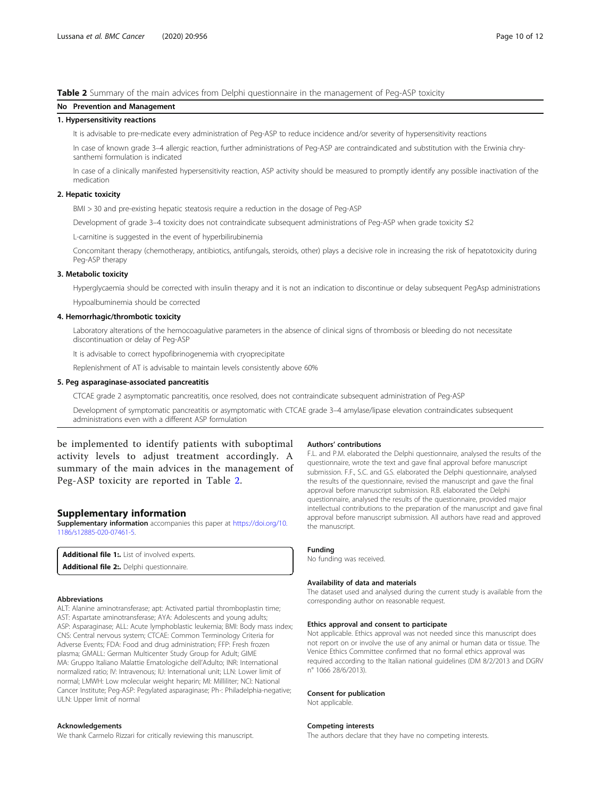#### <span id="page-9-0"></span>Table 2 Summary of the main advices from Delphi questionnaire in the management of Peg-ASP toxicity

#### No Prevention and Management

#### 1. Hypersensitivity reactions

It is advisable to pre-medicate every administration of Peg-ASP to reduce incidence and/or severity of hypersensitivity reactions

In case of known grade 3–4 allergic reaction, further administrations of Peg-ASP are contraindicated and substitution with the Erwinia chrysanthemi formulation is indicated

In case of a clinically manifested hypersensitivity reaction, ASP activity should be measured to promptly identify any possible inactivation of the medication

#### 2. Hepatic toxicity

BMI > 30 and pre-existing hepatic steatosis require a reduction in the dosage of Peg-ASP

Development of grade 3–4 toxicity does not contraindicate subsequent administrations of Peg-ASP when grade toxicity ≤2

L-carnitine is suggested in the event of hyperbilirubinemia

Concomitant therapy (chemotherapy, antibiotics, antifungals, steroids, other) plays a decisive role in increasing the risk of hepatotoxicity during Peg-ASP therapy

#### 3. Metabolic toxicity

Hyperglycaemia should be corrected with insulin therapy and it is not an indication to discontinue or delay subsequent PegAsp administrations Hypoalbuminemia should be corrected

#### 4. Hemorrhagic/thrombotic toxicity

Laboratory alterations of the hemocoagulative parameters in the absence of clinical signs of thrombosis or bleeding do not necessitate discontinuation or delay of Peg-ASP

It is advisable to correct hypofibrinogenemia with cryoprecipitate

Replenishment of AT is advisable to maintain levels consistently above 60%

#### 5. Peg asparaginase-associated pancreatitis

CTCAE grade 2 asymptomatic pancreatitis, once resolved, does not contraindicate subsequent administration of Peg-ASP

Development of symptomatic pancreatitis or asymptomatic with CTCAE grade 3–4 amylase/lipase elevation contraindicates subsequent administrations even with a different ASP formulation

be implemented to identify patients with suboptimal activity levels to adjust treatment accordingly. A summary of the main advices in the management of Peg-ASP toxicity are reported in Table 2.

#### Supplementary information

Supplementary information accompanies this paper at [https://doi.org/10.](https://doi.org/10.1186/s12885-020-07461-5) [1186/s12885-020-07461-5](https://doi.org/10.1186/s12885-020-07461-5).

Additional file 1:. List of involved experts. Additional file 2:. Delphi questionnaire.

#### Abbreviations

ALT: Alanine aminotransferase; apt: Activated partial thromboplastin time; AST: Aspartate aminotransferase; AYA: Adolescents and young adults; ASP: Asparaginase; ALL: Acute lymphoblastic leukemia; BMI: Body mass index; CNS: Central nervous system; CTCAE: Common Terminology Criteria for Adverse Events; FDA: Food and drug administration; FFP: Fresh frozen plasma; GMALL: German Multicenter Study Group for Adult; GIME MA: Gruppo Italiano Malattie Ematologiche dell'Adulto; INR: International normalized ratio; IV: Intravenous; IU: International unit; LLN: Lower limit of normal; LMWH: Low molecular weight heparin; Ml: Milliliter; NCI: National Cancer Institute; Peg-ASP: Pegylated asparaginase; Ph-: Philadelphia-negative; ULN: Upper limit of normal

#### Acknowledgements

We thank Carmelo Rizzari for critically reviewing this manuscript.

#### Authors' contributions

F.L. and P.M. elaborated the Delphi questionnaire, analysed the results of the questionnaire, wrote the text and gave final approval before manuscript submission. F.F., S.C. and G.S. elaborated the Delphi questionnaire, analysed the results of the questionnaire, revised the manuscript and gave the final approval before manuscript submission. R.B. elaborated the Delphi questionnaire, analysed the results of the questionnaire, provided major intellectual contributions to the preparation of the manuscript and gave final approval before manuscript submission. All authors have read and approved the manuscript.

#### Funding

No funding was received.

#### Availability of data and materials

The dataset used and analysed during the current study is available from the corresponding author on reasonable request.

#### Ethics approval and consent to participate

Not applicable. Ethics approval was not needed since this manuscript does not report on or involve the use of any animal or human data or tissue. The Venice Ethics Committee confirmed that no formal ethics approval was required according to the Italian national guidelines (DM 8/2/2013 and DGRV n° 1066 28/6/2013).

#### Consent for publication

Not applicable.

#### Competing interests

The authors declare that they have no competing interests.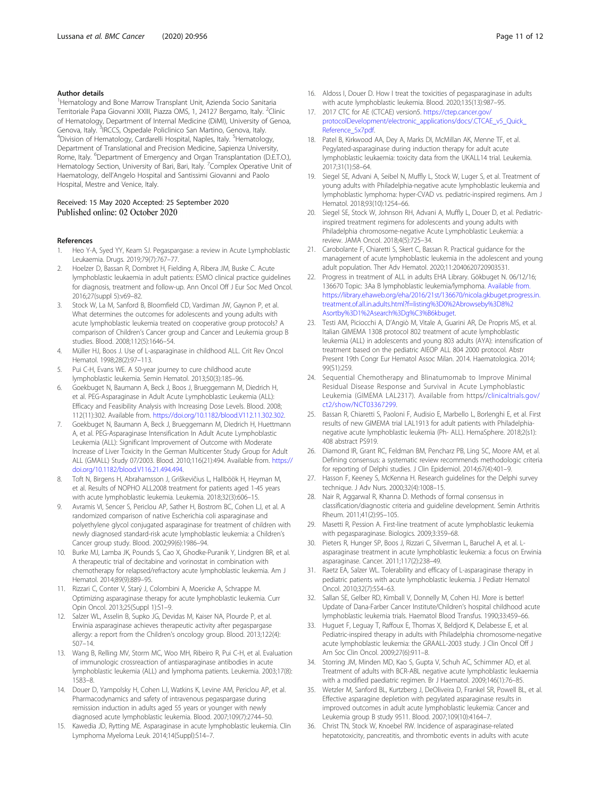#### <span id="page-10-0"></span>Author details

<sup>1</sup>Hematology and Bone Marrow Transplant Unit, Azienda Socio Sanitaria Territoriale Papa Giovanni XXIII, Piazza OMS, 1, 24127 Bergamo, Italy. <sup>2</sup>Clinic of Hematology, Department of Internal Medicine (DiMI), University of Genoa, Genova, Italy. <sup>3</sup>IRCCS, Ospedale Policlinico San Martino, Genova, Italy. Genova, Italy. <sup>a</sup>IRCCS, Ospedale Policlinico San Martino, Genova, Italy.<br><sup>4</sup>Division of Hematology, Cardarelli Hospital, Naples, Italy. <sup>5</sup>Hematology, Department of Translational and Precision Medicine, Sapienza University, Rome, Italy. <sup>6</sup>Department of Emergency and Organ Transplantation (D.E.T.O.), Hematology Section, University of Bari, Bari, Italy. <sup>7</sup>Complex Operative Unit of Haematology, dell'Angelo Hospital and Santissimi Giovanni and Paolo Hospital, Mestre and Venice, Italy.

#### Received: 15 May 2020 Accepted: 25 September 2020 Published online: 02 October 2020

#### References

- 1. Heo Y-A, Syed YY, Keam SJ. Pegaspargase: a review in Acute Lymphoblastic Leukaemia. Drugs. 2019;79(7):767–77.
- 2. Hoelzer D, Bassan R, Dombret H, Fielding A, Ribera JM, Buske C. Acute lymphoblastic leukaemia in adult patients: ESMO clinical practice guidelines for diagnosis, treatment and follow-up. Ann Oncol Off J Eur Soc Med Oncol. 2016;27(suppl 5):v69–82.
- Stock W, La M, Sanford B, Bloomfield CD, Vardiman JW, Gaynon P, et al. What determines the outcomes for adolescents and young adults with acute lymphoblastic leukemia treated on cooperative group protocols? A comparison of Children's Cancer group and Cancer and Leukemia group B studies. Blood. 2008;112(5):1646–54.
- 4. Müller HJ, Boos J. Use of L-asparaginase in childhood ALL. Crit Rev Oncol Hematol. 1998;28(2):97–113.
- Pui C-H, Evans WE. A 50-year journey to cure childhood acute lymphoblastic leukemia. Semin Hematol. 2013;50(3):185–96.
- 6. Goekbuget N, Baumann A, Beck J, Boos J, Brueggemann M, Diedrich H, et al. PEG-Asparaginase in Adult Acute Lymphoblastic Leukemia (ALL): Efficacy and Feasibility Analysis with Increasing Dose Levels. Blood. 2008; 112(11):302. Available from. <https://doi.org/10.1182/blood.V112.11.302.302>.
- 7. Goekbuget N, Baumann A, Beck J, Brueggemann M, Diedrich H, Huettmann A, et al. PEG-Asparaginase Intensification In Adult Acute Lymphoblastic Leukemia (ALL): Significant Improvement of Outcome with Moderate Increase of Liver Toxicity In the German Multicenter Study Group for Adult ALL (GMALL) Study 07/2003. Blood. 2010;116(21):494. Available from. [https://](https://doi.org/10.1182/blood.V116.21.494.494) [doi.org/10.1182/blood.V116.21.494.494.](https://doi.org/10.1182/blood.V116.21.494.494)
- 8. Toft N, Birgens H, Abrahamsson J, Griškevičius L, Hallböök H, Heyman M, et al. Results of NOPHO ALL2008 treatment for patients aged 1-45 years with acute lymphoblastic leukemia. Leukemia. 2018;32(3):606–15.
- Avramis VI, Sencer S, Periclou AP, Sather H, Bostrom BC, Cohen LJ, et al. A randomized comparison of native Escherichia coli asparaginase and polyethylene glycol conjugated asparaginase for treatment of children with newly diagnosed standard-risk acute lymphoblastic leukemia: a Children's Cancer group study. Blood. 2002;99(6):1986–94.
- 10. Burke MJ, Lamba JK, Pounds S, Cao X, Ghodke-Puranik Y, Lindgren BR, et al. A therapeutic trial of decitabine and vorinostat in combination with chemotherapy for relapsed/refractory acute lymphoblastic leukemia. Am J Hematol. 2014;89(9):889–95.
- 11. Rizzari C, Conter V, Starý J, Colombini A, Moericke A, Schrappe M. Optimizing asparaginase therapy for acute lymphoblastic leukemia. Curr Opin Oncol. 2013;25(Suppl 1):S1–9.
- 12. Salzer WL, Asselin B, Supko JG, Devidas M, Kaiser NA, Plourde P, et al. Erwinia asparaginase achieves therapeutic activity after pegaspargase allergy: a report from the Children's oncology group. Blood. 2013;122(4): 507–14.
- 13. Wang B, Relling MV, Storm MC, Woo MH, Ribeiro R, Pui C-H, et al. Evaluation of immunologic crossreaction of antiasparaginase antibodies in acute lymphoblastic leukemia (ALL) and lymphoma patients. Leukemia. 2003;17(8): 1583–8.
- 14. Douer D, Yampolsky H, Cohen LJ, Watkins K, Levine AM, Periclou AP, et al. Pharmacodynamics and safety of intravenous pegaspargase during remission induction in adults aged 55 years or younger with newly diagnosed acute lymphoblastic leukemia. Blood. 2007;109(7):2744–50.
- 15. Kawedia JD, Rytting ME. Asparaginase in acute lymphoblastic leukemia. Clin Lymphoma Myeloma Leuk. 2014;14(Suppl):S14–7.
- 16. Aldoss I, Douer D. How I treat the toxicities of pegasparaginase in adults with acute lymphoblastic leukemia. Blood. 2020;135(13):987–95.
- 17. 2017 CTC for AE (CTCAE) version5. [https://ctep.cancer.gov/](https://ctep.cancer.gov/protocolDevelopment/electronic_applications/docs/.CTCAE_v5_Quick_Reference_5x7pdf) [protocolDevelopment/electronic\\_applications/docs/.CTCAE\\_v5\\_Quick\\_](https://ctep.cancer.gov/protocolDevelopment/electronic_applications/docs/.CTCAE_v5_Quick_Reference_5x7pdf) [Reference\\_5x7pdf.](https://ctep.cancer.gov/protocolDevelopment/electronic_applications/docs/.CTCAE_v5_Quick_Reference_5x7pdf)
- 18. Patel B, Kirkwood AA, Dey A, Marks DI, McMillan AK, Menne TF, et al. Pegylated-asparaginase during induction therapy for adult acute lymphoblastic leukaemia: toxicity data from the UKALL14 trial. Leukemia. 2017;31(1):58–64.
- 19. Siegel SE, Advani A, Seibel N, Muffly L, Stock W, Luger S, et al. Treatment of young adults with Philadelphia-negative acute lymphoblastic leukemia and lymphoblastic lymphoma: hyper-CVAD vs. pediatric-inspired regimens. Am J Hematol. 2018;93(10):1254–66.
- 20. Siegel SE, Stock W, Johnson RH, Advani A, Muffly L, Douer D, et al. Pediatricinspired treatment regimens for adolescents and young adults with Philadelphia chromosome-negative Acute Lymphoblastic Leukemia: a review. JAMA Oncol. 2018;4(5):725–34.
- 21. Carobolante F, Chiaretti S, Skert C, Bassan R. Practical guidance for the management of acute lymphoblastic leukemia in the adolescent and young adult population. Ther Adv Hematol. 2020;11:2040620720903531.
- 22. Progress in treatment of ALL in adults EHA Library. Gökbuget N. 06/12/16; 136670 Topic: 3Aa B lymphoblastic leukemia/lymphoma. [Available from.](https://library.ehaweb.org/eha/2016/21st/136670/nicola.gkbuget.progress.in.treatment.of.all.in.adults.html?f=listing%3D0%2Abrowseby%3D8%2Asortby%3D1%2Asearch%3Dg%C3%B6kbuget) [https://library.ehaweb.org/eha/2016/21st/136670/nicola.gkbuget.progress.in.](https://library.ehaweb.org/eha/2016/21st/136670/nicola.gkbuget.progress.in.treatment.of.all.in.adults.html?f=listing%3D0%2Abrowseby%3D8%2Asortby%3D1%2Asearch%3Dg%C3%B6kbuget) [treatment.of.all.in.adults.html?f=listing%3D0%2Abrowseby%3D8%2](https://library.ehaweb.org/eha/2016/21st/136670/nicola.gkbuget.progress.in.treatment.of.all.in.adults.html?f=listing%3D0%2Abrowseby%3D8%2Asortby%3D1%2Asearch%3Dg%C3%B6kbuget) [Asortby%3D1%2Asearch%3Dg%C3%B6kbuget.](https://library.ehaweb.org/eha/2016/21st/136670/nicola.gkbuget.progress.in.treatment.of.all.in.adults.html?f=listing%3D0%2Abrowseby%3D8%2Asortby%3D1%2Asearch%3Dg%C3%B6kbuget)
- 23. Testi AM, Piciocchi A, D'Angiò M, Vitale A, Guarini AR, De Propris MS, et al. Italian GIMEMA 1308 protocol 802 treatment of acute lymphoblastic leukemia (ALL) in adolescents and young 803 adults (AYA): intensification of treatment based on the pediatric AIEOP ALL 804 2000 protocol. Abstr Present 19th Congr Eur Hematol Assoc Milan. 2014. Haematologica. 2014; 99(S1):259.
- 24. Sequential Chemotherapy and Blinatumomab to Improve Minimal Residual Disease Response and Survival in Acute Lymphoblastic Leukemia (GIMEMA LAL2317). Available from https//[clinicaltrials.gov/](http://clinicaltrials.gov/ct2/show/NCT03367299) [ct2/show/NCT03367299.](http://clinicaltrials.gov/ct2/show/NCT03367299)
- 25. Bassan R, Chiaretti S, Paoloni F, Audisio E, Marbello L, Borlenghi E, et al. First results of new GIMEMA trial LAL1913 for adult patients with Philadelphianegative acute lymphoblastic leukemia (Ph- ALL). HemaSphere. 2018;2(s1): 408 abstract PS919.
- 26. Diamond IR, Grant RC, Feldman BM, Pencharz PB, Ling SC, Moore AM, et al. Defining consensus: a systematic review recommends methodologic criteria for reporting of Delphi studies. J Clin Epidemiol. 2014;67(4):401–9.
- 27. Hasson F, Keeney S, McKenna H. Research guidelines for the Delphi survey technique. J Adv Nurs. 2000;32(4):1008–15.
- 28. Nair R, Aggarwal R, Khanna D. Methods of formal consensus in classification/diagnostic criteria and guideline development. Semin Arthritis Rheum. 2011;41(2):95–105.
- 29. Masetti R, Pession A. First-line treatment of acute lymphoblastic leukemia with pegasparaginase. Biologics. 2009;3:359–68.
- 30. Pieters R, Hunger SP, Boos J, Rizzari C, Silverman L, Baruchel A, et al. Lasparaginase treatment in acute lymphoblastic leukemia: a focus on Erwinia asparaginase. Cancer. 2011;117(2):238–49.
- 31. Raetz EA, Salzer WL. Tolerability and efficacy of L-asparaginase therapy in pediatric patients with acute lymphoblastic leukemia. J Pediatr Hematol Oncol. 2010;32(7):554–63.
- 32. Sallan SE, Gelber RD, Kimball V, Donnelly M, Cohen HJ. More is better! Update of Dana-Farber Cancer Institute/Children's hospital childhood acute lymphoblastic leukemia trials. Haematol Blood Transfus. 1990;33:459–66.
- 33. Huguet F, Leguay T, Raffoux E, Thomas X, Beldjord K, Delabesse E, et al. Pediatric-inspired therapy in adults with Philadelphia chromosome-negative acute lymphoblastic leukemia: the GRAALL-2003 study. J Clin Oncol Off J Am Soc Clin Oncol. 2009;27(6):911–8.
- 34. Storring JM, Minden MD, Kao S, Gupta V, Schuh AC, Schimmer AD, et al. Treatment of adults with BCR-ABL negative acute lymphoblastic leukaemia with a modified paediatric regimen. Br J Haematol. 2009;146(1):76–85.
- 35. Wetzler M, Sanford BL, Kurtzberg J, DeOliveira D, Frankel SR, Powell BL, et al. Effective asparagine depletion with pegylated asparaginase results in improved outcomes in adult acute lymphoblastic leukemia: Cancer and Leukemia group B study 9511. Blood. 2007;109(10):4164–7.
- 36. Christ TN, Stock W, Knoebel RW. Incidence of asparaginase-related hepatotoxicity, pancreatitis, and thrombotic events in adults with acute